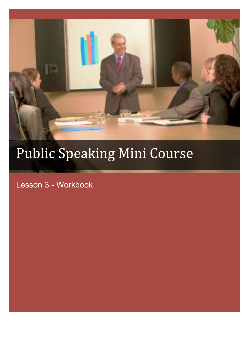

# Public Speaking Mini Course

Lesson 3 - Workbook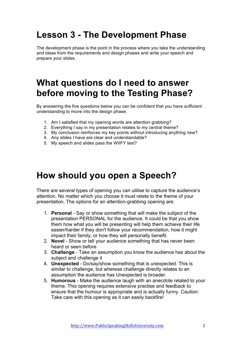## **Lesson 3 - The Development Phase**

The development phase is the point in the process where you take the understanding and ideas from the requirements and design phases and write your speech and prepare your slides.

### **What questions do I need to answer before moving to the Testing Phase?**

By answering the five questions below you can be confident that you have sufficient understanding to move into the design phase.

- 1. Am I satisfied that my opening words are attention grabbing?
- 2. Everything I say in my presentation relates to my central theme?
- 3. My conclusion reinforces my key points without introducing anything new?
- 4. Any slides I have are clear and understandable?
- 5. My speech and slides pass the WIIFY test?

#### **How should you open a Speech?**

There are several types of opening you can utilise to capture the audience's attention. No matter which you choose it must relate to the theme of your presentation. The options for an attention-grabbing opening are:

- 1. **Personal** Say or show something that will make the subject of the presentation PERSONAL for the audience. It could be that you show them how what you will be presenting will help them achieve their life easier/harder if they don't follow your recommendation, how it might impact their family, or how they will personally benefit.
- 2. **Novel**  Show or tell your audience something that has never been heard or seen before
- 3. **Challenge**  Take an assumption you know the audience has about the subject and challenge it
- 4. **Unexpected**  Do/say/show something that is unexpected. This is similar to challenge, but whereas challenge directly relates to an assumption the audience has Unexpected is broader.
- 5. **Humorous**  Make the audience laugh with an anecdote related to your theme. This opening requires extensive practise and feedback to ensure that the humour is appropriate and is actually funny. Caution: Take care with this opening as it can easily backfire!